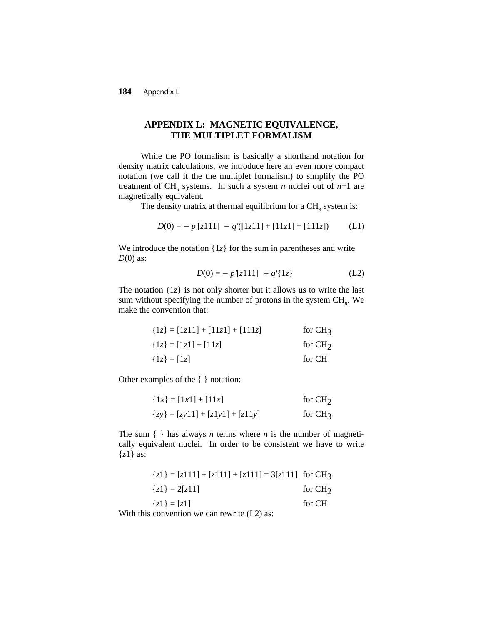**184** Appendix L

# **APPENDIX L: MAGNETIC EQUIVALENCE, THE MULTIPLET FORMALISM**

While the PO formalism is basically a shorthand notation for density matrix calculations, we introduce here an even more compact notation (we call it the the multiplet formalism) to simplify the PO treatment of CH<sub>n</sub> systems. In such a system *n* nuclei out of  $n+1$  are magnetically equivalent.

The density matrix at thermal equilibrium for a  $CH<sub>3</sub>$  system is:

$$
D(0) = - p'[z111] - q'([1z11] + [11z1] + [111z]) \tag{L1}
$$

We introduce the notation  $\{1z\}$  for the sum in parentheses and write *D*(0) as:

$$
D(0) = -p'[z111] - q'[1z] \tag{L2}
$$

The notation  $\{1z\}$  is not only shorter but it allows us to write the last sum without specifying the number of protons in the system CH<sub>n</sub>. We make the convention that:

| ${1z} = [1z11] + [11z1] + [111z]$ | for $CH3$ |
|-----------------------------------|-----------|
| ${1z} = [1z1] + [11z]$            | for $CH2$ |
| ${1z} = [1z]$                     | for CH    |

Other examples of the { } notation:

| ${1x} = [1x1] + [11x]$            | for $CH2$ |
|-----------------------------------|-----------|
| ${zy} = [zy11] + [z1y1] + [z11y]$ | for $CH3$ |

The sum  $\{\}$  has always *n* terms where *n* is the number of magnetically equivalent nuclei. In order to be consistent we have to write {*z*1} as:

| ${z1} = [z111] + [z111] + [z111] = 3[z111]$ for CH <sub>3</sub> |           |
|-----------------------------------------------------------------|-----------|
| ${z1} = 2 z11 $                                                 | for $CH2$ |
| ${z1} =  z1 $                                                   | for CH    |
| While this concention can consecute $(1, 2)$ com                |           |

With this convention we can rewrite  $(L2)$  as: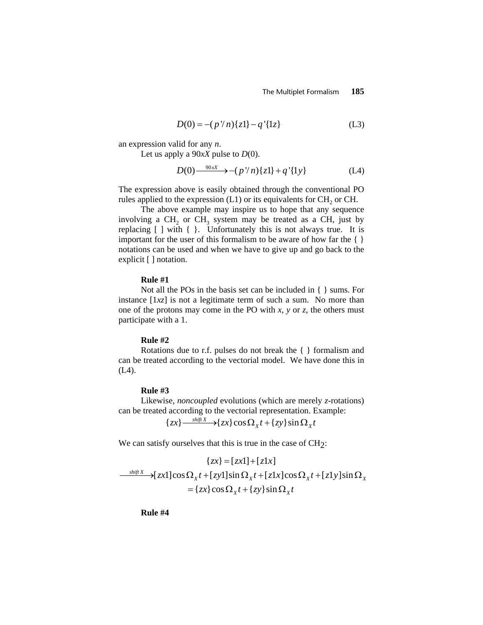$$
D(0) = -(p''n)\{z1\} - q'\{1z\}
$$
 (L3)

an expression valid for any *n*.

Let us apply a 90*xX* pulse to *D*(0).

$$
D(0) \xrightarrow{\quad 90xX} \rightarrow -(p \, \lor n) \{z1\} + q \, \lbrace 1y\rbrace \tag{L4}
$$

The expression above is easily obtained through the conventional PO rules applied to the expression  $(L1)$  or its equivalents for CH<sub>2</sub> or CH.

The above example may inspire us to hope that any sequence involving a CH<sub>2</sub> or CH<sub>3</sub> system may be treated as a CH<sub>3</sub> just by replacing [ ] with { }. Unfortunately this is not always true. It is important for the user of this formalism to be aware of how far the  $\{\}$ notations can be used and when we have to give up and go back to the explicit [] notation.

### **Rule #1**

Not all the POs in the basis set can be included in { } sums. For instance [1*xz*] is not a legitimate term of such a sum. No more than one of the protons may come in the PO with *x*, *y* or *z*, the others must participate with a 1.

## **Rule #2**

Rotations due to r.f. pulses do not break the { } formalism and can be treated according to the vectorial model. We have done this in (L4).

## **Rule #3**

 Likewise, *noncoupled* evolutions (which are merely *z*-rotations) can be treated according to the vectorial representation. Example:

 ${ {zx} \longrightarrow {zx} \cos \Omega_x t + {zy} \sin \Omega_x t }$ 

We can satisfy ourselves that this is true in the case of  $CH<sub>2</sub>$ :

$$
\{zx\} = [zx1] + [z1x]
$$
  
\n
$$
\xrightarrow{shiftX} [\overline{zx1}] \cos \Omega_x t + [\overline{zy1}] \sin \Omega_x t + [\overline{z1x}] \cos \Omega_x t + [\overline{z1y}] \sin \Omega_x t
$$
  
\n
$$
= \{zx\} \cos \Omega_x t + \{zy\} \sin \Omega_x t
$$

**Rule #4**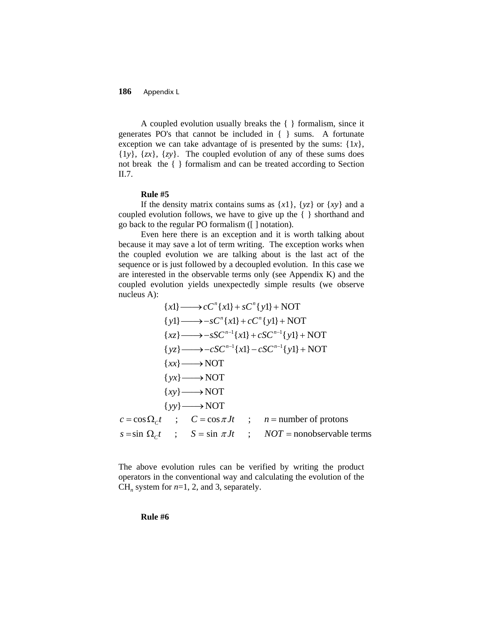**186** Appendix L

A coupled evolution usually breaks the { } formalism, since it generates PO's that cannot be included in { } sums. A fortunate exception we can take advantage of is presented by the sums:  $\{1x\}$ ,  $\{1y\}$ ,  $\{zx\}$ ,  $\{zy\}$ . The coupled evolution of any of these sums does not break the { } formalism and can be treated according to Section II.7.

#### **Rule #5**

If the density matrix contains sums as  $\{x1\}$ ,  $\{yz\}$  or  $\{xy\}$  and a coupled evolution follows, we have to give up the { } shorthand and go back to the regular PO formalism ([ ] notation).

Even here there is an exception and it is worth talking about because it may save a lot of term writing. The exception works when the coupled evolution we are talking about is the last act of the sequence or is just followed by a decoupled evolution. In this case we are interested in the observable terms only (see Appendix K) and the coupled evolution yields unexpectedly simple results (we observe nucleus A):

$$
\{x\} \longrightarrow cC^{n}\{x\} + sC^{n}\{y\} + NOT
$$
  
\n
$$
\{y\} \longrightarrow -sC^{n}\{x\} + cC^{n}\{y\} + NOT
$$
  
\n
$$
\{xz\} \longrightarrow -sSC^{n-1}\{x\} + cSC^{n-1}\{y\} + NOT
$$
  
\n
$$
\{yz\} \longrightarrow -cSC^{n-1}\{x\} - cSC^{n-1}\{y\} + NOT
$$
  
\n
$$
\{xx\} \longrightarrow NOT
$$
  
\n
$$
\{xy\} \longrightarrow NOT
$$
  
\n
$$
\{xy\} \longrightarrow NOT
$$
  
\n
$$
c = \cos \Omega_{c}t \quad ; \quad C = \cos \pi Jt \quad ; \quad n = \text{number of protons}
$$
  
\n
$$
s = \sin \Omega_{c}t \quad ; \quad S = \sin \pi Jt \quad ; \quad NOT = \text{nonobservable terms}
$$

The above evolution rules can be verified by writing the product operators in the conventional way and calculating the evolution of the CH<sub>n</sub> system for  $n=1, 2$ , and 3, separately.

**Rule #6**